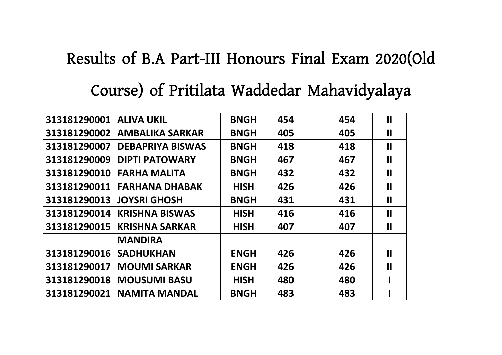## **Results of B.A Part-III Honours Final Exam 2020(Old**

## **Course) of Pritilata Waddedar Mahavidyalaya**

| <b>ALIVA UKIL</b>       | <b>BNGH</b> | 454 | 454 | П                     |
|-------------------------|-------------|-----|-----|-----------------------|
| <b>AMBALIKA SARKAR</b>  | <b>BNGH</b> | 405 | 405 | 11                    |
| <b>DEBAPRIYA BISWAS</b> | <b>BNGH</b> | 418 | 418 | П                     |
| <b>DIPTI PATOWARY</b>   | <b>BNGH</b> | 467 | 467 | П                     |
| <b>FARHA MALITA</b>     | <b>BNGH</b> | 432 | 432 | 11                    |
| <b>FARHANA DHABAK</b>   | <b>HISH</b> | 426 | 426 | П                     |
| <b>JOYSRI GHOSH</b>     | <b>BNGH</b> | 431 | 431 | П                     |
| <b>KRISHNA BISWAS</b>   | <b>HISH</b> | 416 | 416 | 11                    |
| <b>KRISHNA SARKAR</b>   | <b>HISH</b> | 407 | 407 | П                     |
| <b>MANDIRA</b>          |             |     |     |                       |
| <b>SADHUKHAN</b>        | <b>ENGH</b> | 426 | 426 | $\mathbf{\mathbf{I}}$ |
| <b>MOUMI SARKAR</b>     | <b>ENGH</b> | 426 | 426 | $\mathbf{\mathbf{I}}$ |
| <b>MOUSUMI BASU</b>     | <b>HISH</b> | 480 | 480 |                       |
| <b>NAMITA MANDAL</b>    | <b>BNGH</b> | 483 | 483 |                       |
|                         |             |     |     |                       |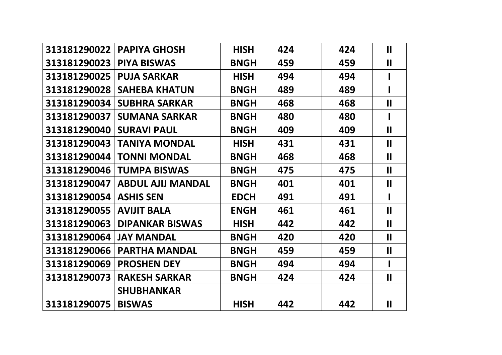| 313181290022 | <b>PAPIYA GHOSH</b>      | <b>HISH</b> | 424 | 424 | $\mathbf{II}$ |
|--------------|--------------------------|-------------|-----|-----|---------------|
| 313181290023 | <b>PIYA BISWAS</b>       | <b>BNGH</b> | 459 | 459 | $\mathbf{II}$ |
| 313181290025 | <b>PUJA SARKAR</b>       | <b>HISH</b> | 494 | 494 |               |
| 313181290028 | <b>SAHEBA KHATUN</b>     | <b>BNGH</b> | 489 | 489 |               |
| 313181290034 | <b>SUBHRA SARKAR</b>     | <b>BNGH</b> | 468 | 468 | $\mathbf{I}$  |
| 313181290037 | <b>SUMANA SARKAR</b>     | <b>BNGH</b> | 480 | 480 |               |
| 313181290040 | <b>SURAVI PAUL</b>       | <b>BNGH</b> | 409 | 409 | $\mathbf{I}$  |
| 313181290043 | <b>TANIYA MONDAL</b>     | <b>HISH</b> | 431 | 431 | $\mathbf{II}$ |
| 313181290044 | <b>TONNI MONDAL</b>      | <b>BNGH</b> | 468 | 468 | $\mathbf{II}$ |
| 313181290046 | <b>TUMPA BISWAS</b>      | <b>BNGH</b> | 475 | 475 | $\mathbf{II}$ |
| 313181290047 | <b>ABDUL AJIJ MANDAL</b> | <b>BNGH</b> | 401 | 401 | $\mathbf{I}$  |
| 313181290054 | <b>ASHIS SEN</b>         | <b>EDCH</b> | 491 | 491 |               |
| 313181290055 | <b>AVIJIT BALA</b>       | <b>ENGH</b> | 461 | 461 | $\mathbf{II}$ |
| 313181290063 | <b>DIPANKAR BISWAS</b>   | <b>HISH</b> | 442 | 442 | $\mathbf{I}$  |
| 313181290064 | <b>JAY MANDAL</b>        | <b>BNGH</b> | 420 | 420 | $\mathbf{II}$ |
| 313181290066 | <b>PARTHA MANDAL</b>     | <b>BNGH</b> | 459 | 459 | $\mathbf{II}$ |
| 313181290069 | <b>PROSHEN DEY</b>       | <b>BNGH</b> | 494 | 494 |               |
| 313181290073 | <b>RAKESH SARKAR</b>     | <b>BNGH</b> | 424 | 424 | $\mathbf{H}$  |
|              | <b>SHUBHANKAR</b>        |             |     |     |               |
| 313181290075 | <b>BISWAS</b>            | <b>HISH</b> | 442 | 442 | $\mathbf{II}$ |